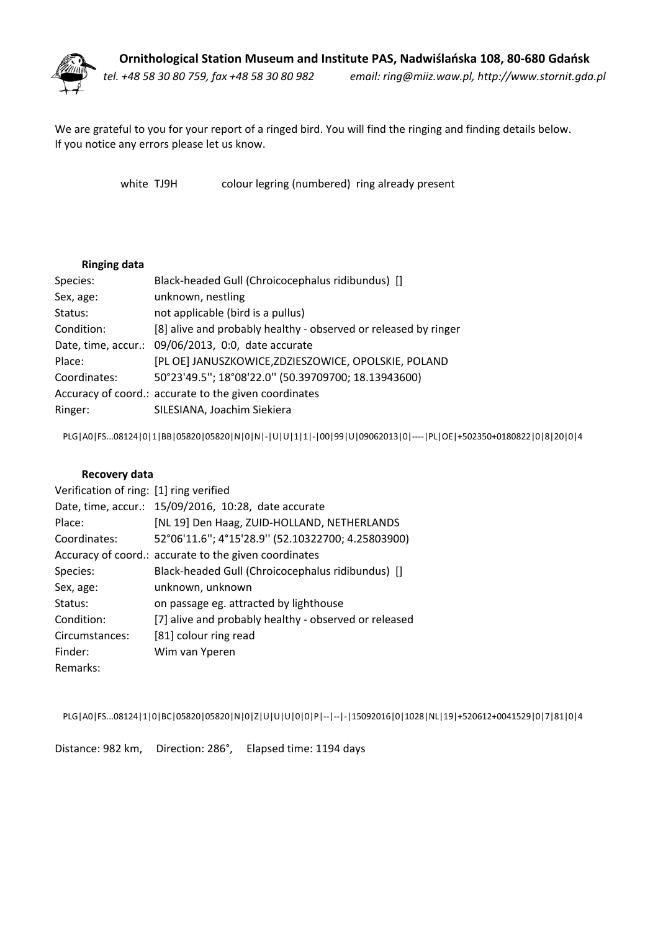

We are grateful to you for your report of <sup>a</sup> ringed bird. You will find the ringing and finding details below. If you notice any errors please let us know.

white TJ9H colour legring (numbered) ring already present

## **Ringing data**

| Species:     | Black-headed Gull (Chroicocephalus ridibundus) []               |
|--------------|-----------------------------------------------------------------|
| Sex, age:    | unknown, nestling                                               |
| Status:      | not applicable (bird is a pullus)                               |
| Condition:   | [8] alive and probably healthy - observed or released by ringer |
|              | Date, time, accur.: 09/06/2013, 0:0, date accurate              |
| Place:       | [PL OE] JANUSZKOWICE, ZDZIESZOWICE, OPOLSKIE, POLAND            |
| Coordinates: | 50°23'49.5"; 18°08'22.0" (50.39709700; 18.13943600)             |
|              | Accuracy of coord.: accurate to the given coordinates           |
| Ringer:      | SILESIANA, Joachim Siekiera                                     |

PLG|A0|FS...08124|0|1|BB|05820|05820|N|0|N|-|U|U|1|1|-|00|99|U|09062013|0|----|PL|OE|+502350+0180822|0|8|20|0|4

## **Recovery data**

| Verification of ring: [1] ring verified |                                                       |
|-----------------------------------------|-------------------------------------------------------|
|                                         | Date, time, accur.: 15/09/2016, 10:28, date accurate  |
| Place:                                  | [NL 19] Den Haag, ZUID-HOLLAND, NETHERLANDS           |
| Coordinates:                            | 52°06'11.6"; 4°15'28.9" (52.10322700; 4.25803900)     |
|                                         | Accuracy of coord.: accurate to the given coordinates |
| Species:                                | Black-headed Gull (Chroicocephalus ridibundus) []     |
| Sex, age:                               | unknown, unknown                                      |
| Status:                                 | on passage eg. attracted by lighthouse                |
| Condition:                              | [7] alive and probably healthy - observed or released |
| Circumstances:                          | [81] colour ring read                                 |
| Finder:                                 | Wim van Yperen                                        |
| Remarks:                                |                                                       |

PLG|A0|FS...08124|1|0|BC|05820|05820|N|0|Z|U|U|U|0|0|P|--|--|-|15092016|0|1028|NL|19|+520612+0041529|0|7|81|0|4

Distance: 982 km, Direction: 286°, Elapsed time: 1194 days